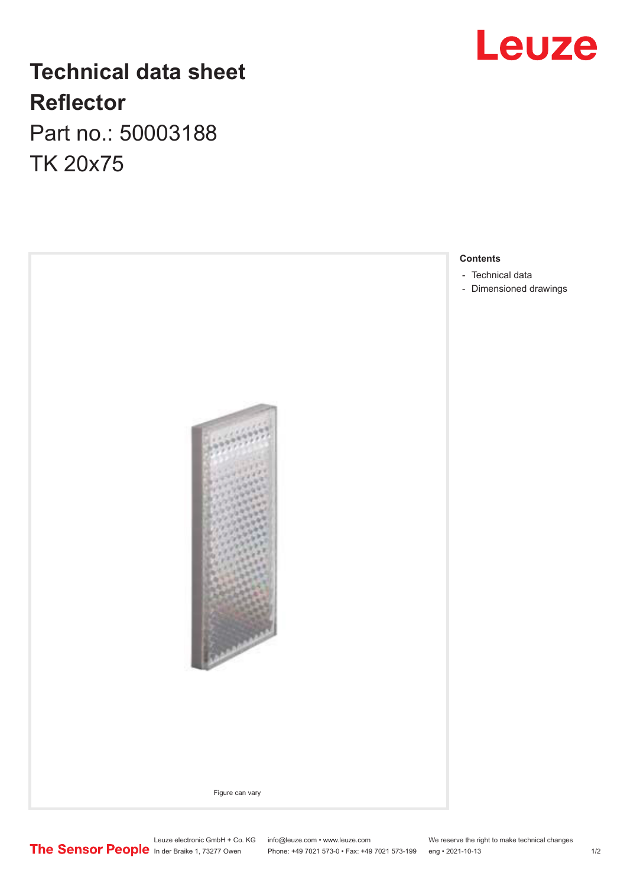## **Technical data sheet Reflector** Part no.: 50003188

TK 20x75





Leuze electronic GmbH + Co. KG info@leuze.com • www.leuze.com We reserve the right to make technical changes

In der Braike 1, 73277 Owen Phone: +49 7021 573-0 • Fax: +49 7021 573-199 eng • 2021-10-13